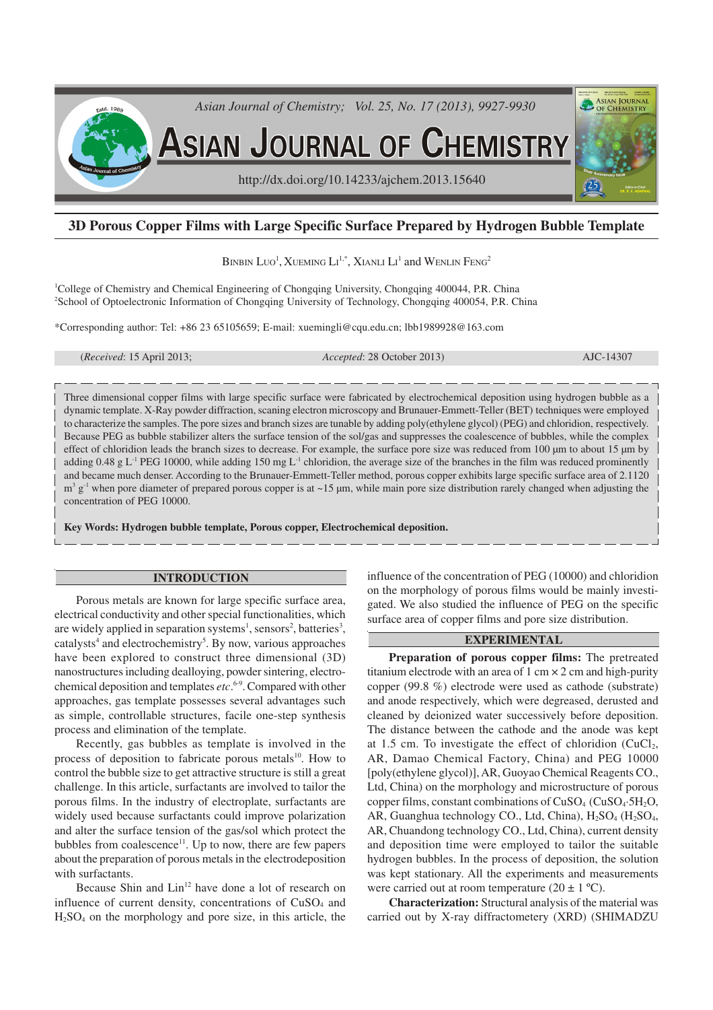

# **3D Porous Copper Films with Large Specific Surface Prepared by Hydrogen Bubble Template**

BINBIN LUO<sup>1</sup>, Xueming Li<sup>1,\*</sup>, Xianli Li<sup>1</sup> and Wenlin Feng<sup>2</sup>

<sup>1</sup>College of Chemistry and Chemical Engineering of Chongqing University, Chongqing 400044, P.R. China <sup>2</sup>School of Optoelectronic Information of Chongqing University of Technology, Chongqing 400054, P.R. China

\*Corresponding author: Tel: +86 23 65105659; E-mail: xuemingli@cqu.edu.cn; lbb1989928@163.com

(*Received*: 15 April 2013; *Accepted*: 28 October 2013) AJC-14307

Three dimensional copper films with large specific surface were fabricated by electrochemical deposition using hydrogen bubble as a dynamic template. X-Ray powder diffraction, scaning electron microscopy and Brunauer-Emmett-Teller (BET) techniques were employed to characterize the samples. The pore sizes and branch sizes are tunable by adding poly(ethylene glycol) (PEG) and chloridion, respectively. Because PEG as bubble stabilizer alters the surface tension of the sol/gas and suppresses the coalescence of bubbles, while the complex effect of chloridion leads the branch sizes to decrease. For example, the surface pore size was reduced from 100 µm to about 15 µm by adding 0.48 g L<sup>-1</sup> PEG 10000, while adding 150 mg L<sup>-1</sup> chloridion, the average size of the branches in the film was reduced prominently and became much denser. According to the Brunauer-Emmett-Teller method, porous copper exhibits large specific surface area of 2.1120  $m^3$  g<sup>-1</sup> when pore diameter of prepared porous copper is at ~15 µm, while main pore size distribution rarely changed when adjusting the concentration of PEG 10000.

**Key Words: Hydrogen bubble template, Porous copper, Electrochemical deposition.**

#### **INTRODUCTION**

Porous metals are known for large specific surface area, electrical conductivity and other special functionalities, which are widely applied in separation systems<sup>1</sup>, sensors<sup>2</sup>, batteries<sup>3</sup>, catalysts<sup>4</sup> and electrochemistry<sup>5</sup>. By now, various approaches have been explored to construct three dimensional (3D) nanostructures including dealloying, powder sintering, electrochemical deposition and templates *etc*. 6-9. Compared with other approaches, gas template possesses several advantages such as simple, controllable structures, facile one-step synthesis process and elimination of the template.

Recently, gas bubbles as template is involved in the process of deposition to fabricate porous metals<sup>10</sup>. How to control the bubble size to get attractive structure is still a great challenge. In this article, surfactants are involved to tailor the porous films. In the industry of electroplate, surfactants are widely used because surfactants could improve polarization and alter the surface tension of the gas/sol which protect the bubbles from coalescence<sup>11</sup>. Up to now, there are few papers about the preparation of porous metals in the electrodeposition with surfactants.

Because Shin and Lin<sup>12</sup> have done a lot of research on influence of current density, concentrations of  $CuSO<sub>4</sub>$  and H2SO4 on the morphology and pore size, in this article, the influence of the concentration of PEG (10000) and chloridion on the morphology of porous films would be mainly investigated. We also studied the influence of PEG on the specific surface area of copper films and pore size distribution.

## **EXPERIMENTAL**

**Preparation of porous copper films:** The pretreated titanium electrode with an area of  $1 \text{ cm} \times 2 \text{ cm}$  and high-purity copper (99.8 %) electrode were used as cathode (substrate) and anode respectively, which were degreased, derusted and cleaned by deionized water successively before deposition. The distance between the cathode and the anode was kept at 1.5 cm. To investigate the effect of chloridion  $(CuCl<sub>2</sub>)$ , AR, Damao Chemical Factory, China) and PEG 10000 [poly(ethylene glycol)],AR, Guoyao Chemical Reagents CO., Ltd, China) on the morphology and microstructure of porous copper films, constant combinations of  $CuSO<sub>4</sub>$  ( $CuSO<sub>4</sub>$ -5H<sub>2</sub>O, AR, Guanghua technology CO., Ltd, China),  $H_2SO_4$  ( $H_2SO_4$ , AR, Chuandong technology CO., Ltd, China), current density and deposition time were employed to tailor the suitable hydrogen bubbles. In the process of deposition, the solution was kept stationary. All the experiments and measurements were carried out at room temperature  $(20 \pm 1 \degree C)$ .

**Characterization:** Structural analysis of the material was carried out by X-ray diffractometery (XRD) (SHIMADZU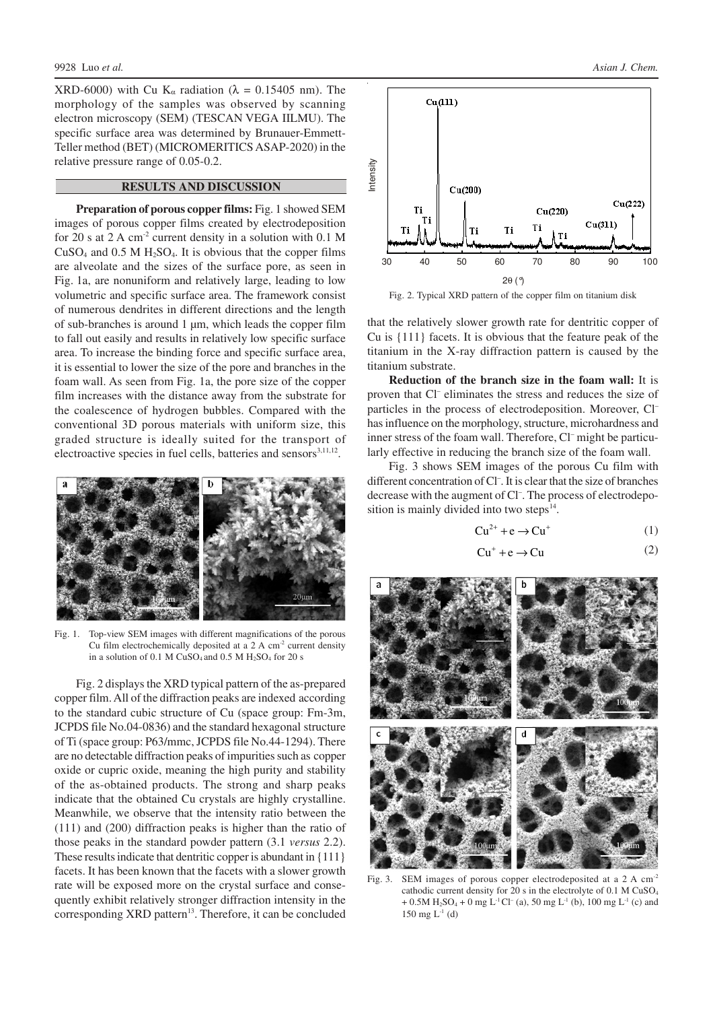XRD-6000) with Cu K<sub>α</sub> radiation ( $\lambda = 0.15405$  nm). The morphology of the samples was observed by scanning electron microscopy (SEM) (TESCAN VEGA IILMU). The specific surface area was determined by Brunauer-Emmett-Teller method (BET) (MICROMERITICS ASAP-2020) in the relative pressure range of 0.05-0.2.

### **RESULTS AND DISCUSSION**

**Preparation of porous copper films:** Fig. 1 showed SEM images of porous copper films created by electrodeposition for 20 s at  $2 \text{ A cm}^2$  current density in a solution with 0.1 M  $CuSO<sub>4</sub>$  and 0.5 M  $H<sub>2</sub>SO<sub>4</sub>$ . It is obvious that the copper films are alveolate and the sizes of the surface pore, as seen in Fig. 1a, are nonuniform and relatively large, leading to low volumetric and specific surface area. The framework consist of numerous dendrites in different directions and the length of sub-branches is around 1 µm, which leads the copper film to fall out easily and results in relatively low specific surface area. To increase the binding force and specific surface area, it is essential to lower the size of the pore and branches in the foam wall. As seen from Fig. 1a, the pore size of the copper film increases with the distance away from the substrate for the coalescence of hydrogen bubbles. Compared with the conventional 3D porous materials with uniform size, this graded structure is ideally suited for the transport of electroactive species in fuel cells, batteries and sensors<sup>3,11,12</sup>.



Fig. 1. Top-view SEM images with different magnifications of the porous Cu film electrochemically deposited at a  $2 \text{ A cm}^2$  current density in a solution of 0.1 M  $CuSO<sub>4</sub>$  and 0.5 M  $H<sub>2</sub>SO<sub>4</sub>$  for 20 s

Fig. 2 displays the XRD typical pattern of the as-prepared copper film. All of the diffraction peaks are indexed according to the standard cubic structure of Cu (space group: Fm-3m, JCPDS file No.04-0836) and the standard hexagonal structure of Ti (space group: P63/mmc, JCPDS file No.44-1294). There are no detectable diffraction peaks of impurities such as copper oxide or cupric oxide, meaning the high purity and stability of the as-obtained products. The strong and sharp peaks indicate that the obtained Cu crystals are highly crystalline. Meanwhile, we observe that the intensity ratio between the (111) and (200) diffraction peaks is higher than the ratio of those peaks in the standard powder pattern (3.1 *versus* 2.2). These results indicate that dentritic copper is abundant in {111} facets. It has been known that the facets with a slower growth rate will be exposed more on the crystal surface and consequently exhibit relatively stronger diffraction intensity in the corresponding XRD pattern<sup>13</sup>. Therefore, it can be concluded



Fig. 2. Typical XRD pattern of the copper film on titanium disk

that the relatively slower growth rate for dentritic copper of Cu is {111} facets. It is obvious that the feature peak of the titanium in the X-ray diffraction pattern is caused by the titanium substrate.

**Reduction of the branch size in the foam wall:** It is proven that Cl<sup>-</sup> eliminates the stress and reduces the size of particles in the process of electrodeposition. Moreover, Cl– has influence on the morphology, structure, microhardness and inner stress of the foam wall. Therefore, Cl<sup>-</sup> might be particularly effective in reducing the branch size of the foam wall.

Fig. 3 shows SEM images of the porous Cu film with different concentration of Cl– . It is clear that the size of branches decrease with the augment of Cl– . The process of electrodeposition is mainly divided into two steps $<sup>14</sup>$ .</sup>

$$
Cu^{2+} + e \rightarrow Cu^{+}
$$
 (1)

$$
Cu^{+} + e \rightarrow Cu
$$
 (2)



Fig. 3. SEM images of porous copper electrodeposited at a 2 A cm<sup>-2</sup> cathodic current density for 20 s in the electrolyte of 0.1 M CuSO<sup>4</sup>  $+ 0.5M$  H<sub>2</sub>SO<sub>4</sub> + 0 mg L<sup>-1</sup>Cl<sup>-</sup> (a), 50 mg L<sup>-1</sup> (b), 100 mg L<sup>-1</sup> (c) and 150 mg  $L^{-1}$  (d)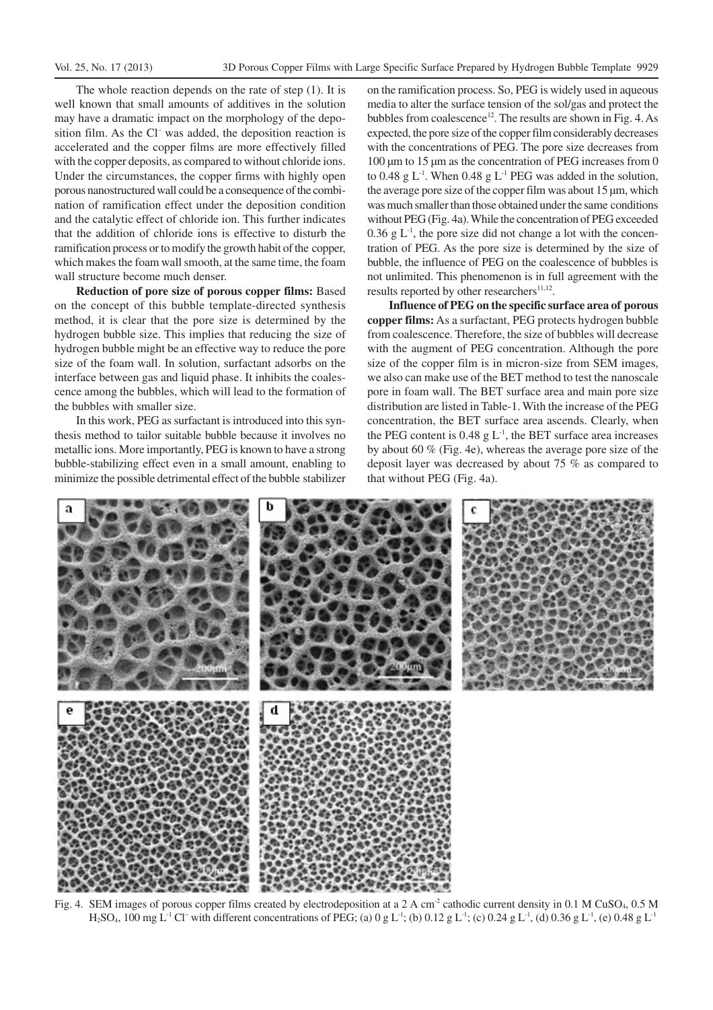The whole reaction depends on the rate of step (1). It is well known that small amounts of additives in the solution may have a dramatic impact on the morphology of the deposition film. As the Cl<sup>-</sup> was added, the deposition reaction is accelerated and the copper films are more effectively filled with the copper deposits, as compared to without chloride ions. Under the circumstances, the copper firms with highly open porous nanostructured wall could be a consequence of the combination of ramification effect under the deposition condition and the catalytic effect of chloride ion. This further indicates that the addition of chloride ions is effective to disturb the ramification process or to modify the growth habit of the copper, which makes the foam wall smooth, at the same time, the foam wall structure become much denser.

**Reduction of pore size of porous copper films:** Based on the concept of this bubble template-directed synthesis method, it is clear that the pore size is determined by the hydrogen bubble size. This implies that reducing the size of hydrogen bubble might be an effective way to reduce the pore size of the foam wall. In solution, surfactant adsorbs on the interface between gas and liquid phase. It inhibits the coalescence among the bubbles, which will lead to the formation of the bubbles with smaller size.

In this work, PEG as surfactant is introduced into this synthesis method to tailor suitable bubble because it involves no metallic ions. More importantly, PEG is known to have a strong bubble-stabilizing effect even in a small amount, enabling to minimize the possible detrimental effect of the bubble stabilizer

on the ramification process. So, PEG is widely used in aqueous media to alter the surface tension of the sol/gas and protect the bubbles from coalescence<sup>12</sup>. The results are shown in Fig. 4. As expected, the pore size of the copper film considerably decreases with the concentrations of PEG. The pore size decreases from 100 µm to 15 µm as the concentration of PEG increases from 0 to 0.48 g  $L^{-1}$ . When 0.48 g  $L^{-1}$  PEG was added in the solution, the average pore size of the copper film was about 15 µm, which was much smaller than those obtained under the same conditions without PEG (Fig. 4a). While the concentration of PEG exceeded  $0.36$  g  $L<sup>1</sup>$ , the pore size did not change a lot with the concentration of PEG. As the pore size is determined by the size of bubble, the influence of PEG on the coalescence of bubbles is not unlimited. This phenomenon is in full agreement with the results reported by other researchers $11,12$ .

**Influence of PEG on the specific surface area of porous copper films:** As a surfactant, PEG protects hydrogen bubble from coalescence. Therefore, the size of bubbles will decrease with the augment of PEG concentration. Although the pore size of the copper film is in micron-size from SEM images, we also can make use of the BET method to test the nanoscale pore in foam wall. The BET surface area and main pore size distribution are listed in Table-1. With the increase of the PEG concentration, the BET surface area ascends. Clearly, when the PEG content is  $0.48 \text{ g L}^1$ , the BET surface area increases by about 60 % (Fig. 4e), whereas the average pore size of the deposit layer was decreased by about 75 % as compared to that without PEG (Fig. 4a).



Fig. 4. SEM images of porous copper films created by electrodeposition at a 2 A cm<sup>-2</sup> cathodic current density in 0.1 M CuSO<sub>4</sub>, 0.5 M  $H_2SO_4$ , 100 mg L<sup>-1</sup> Cl<sup>-</sup> with different concentrations of PEG; (a) 0 g L<sup>-1</sup>; (b) 0.12 g L<sup>-1</sup>; (c) 0.24 g L<sup>-1</sup>, (d) 0.36 g L<sup>-1</sup>, (e) 0.48 g L<sup>-1</sup>